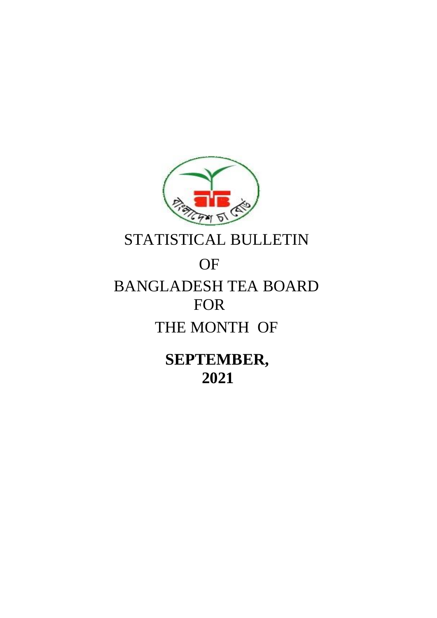

STATISTICAL BULLETIN

# OF BANGLADESH TEA BOARD FOR THE MONTH OF

 **SEPTEMBER, 2021**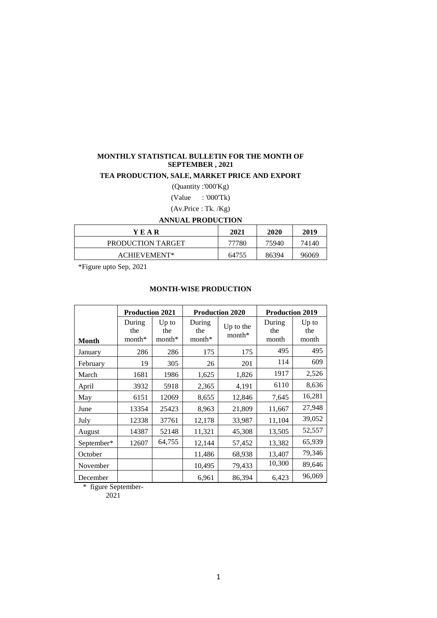# **MONTHLY STATISTICAL BULLETIN FOR THE MONTH OF SEPTEMBER , 2021**

## **TEA PRODUCTION, SALE, MARKET PRICE AND EXPORT**

(Quantity :'000'Kg)

(Value : '000'Tk)

(Av.Price : Tk. /Kg)

#### **ANNUAL PRODUCTION**

| YEAR              | 2021  | 2020  | 2019  |
|-------------------|-------|-------|-------|
| PRODUCTION TARGET | 77780 | 75940 | 74140 |
| ACHIEVEMENT*      | 64755 | 86394 | 96069 |

\*Figure upto Sep, 2021

#### **MONTH-WISE PRODUCTION**

|            | <b>Production 2021</b>  |                            |                         | <b>Production 2020</b> | <b>Production 2019</b> |                         |
|------------|-------------------------|----------------------------|-------------------------|------------------------|------------------------|-------------------------|
| Month      | During<br>the<br>month* | $Up$ to<br>the<br>$month*$ | During<br>the<br>month* | Up to the<br>$month*$  | During<br>the<br>month | $Up$ to<br>the<br>month |
| January    | 286                     | 286                        | 175                     | 175                    | 495                    | 495                     |
| February   | 19                      | 305                        | 26                      | 201                    | 114                    | 609                     |
| March      | 1681                    | 1986                       | 1,625                   | 1,826                  | 1917                   | 2,526                   |
| April      | 3932                    | 5918                       | 2,365                   | 4,191                  | 6110                   | 8,636                   |
| May        | 6151                    | 12069                      | 8,655                   | 12,846                 | 7,645                  | 16,281                  |
| June       | 13354                   | 25423                      | 8,963                   | 21,809                 | 11,667                 | 27,948                  |
| July       | 12338                   | 37761                      | 12,178                  | 33,987                 | 11,104                 | 39,052                  |
| August     | 14387                   | 52148                      | 11,321                  | 45,308                 | 13,505                 | 52,557                  |
| September* | 12607                   | 64,755                     | 12,144                  | 57,452                 | 13,382                 | 65,939                  |
| October    |                         |                            | 11,486                  | 68,938                 | 13,407                 | 79,346                  |
| November   |                         |                            | 10,495                  | 79,433                 | 10,300                 | 89,646                  |
| December   |                         |                            | 6,961                   | 86,394                 | 6,423                  | 96,069                  |

\* figure September-

2021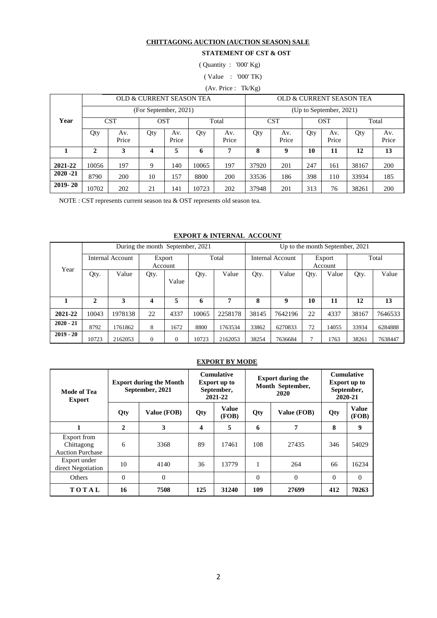#### **CHITTAGONG AUCTION (AUCTION SEASON) SALE**

#### **STATEMENT OF CST & OST**

( Quantity : '000' Kg)

( Value : '000' TK)

(Av. Price : Tk/Kg)

|             |             |              | OLD & CURRENT SEASON TEA |                     |       |              |       |              |                         |              | OLD & CURRENT SEASON TEA |              |  |  |
|-------------|-------------|--------------|--------------------------|---------------------|-------|--------------|-------|--------------|-------------------------|--------------|--------------------------|--------------|--|--|
|             |             |              | (For September, 2021)    |                     |       |              |       |              | (Up to September, 2021) |              |                          |              |  |  |
| Year        |             | CST          |                          | <b>OST</b><br>Total |       |              |       | <b>CST</b>   |                         | <b>OST</b>   |                          | Total        |  |  |
|             | Qty         | Av.<br>Price | Qty                      | Av.<br>Price        | Qty   | Av.<br>Price | Qty   | Av.<br>Price | Qty                     | Av.<br>Price | Qty                      | Av.<br>Price |  |  |
|             | $\mathbf 2$ | 3            | 4                        | 5                   | 6     | 7            | 8     | 9            | 10                      | 11           | 12                       | 13           |  |  |
| 2021-22     | 10056       | 197          | 9                        | 140                 | 10065 | 197          | 37920 | 201          | 247                     | 161          | 38167                    | <b>200</b>   |  |  |
| $2020 - 21$ | 8790        | 200          | 10                       | 157                 | 8800  | 200          | 33536 | 186          | 398                     | 110          | 33934                    | 185          |  |  |
| $2019 - 20$ | 10702       | 202          | 21                       | 141                 | 10723 | 202          | 37948 | 201          | 313                     | 76           | 38261                    | <b>200</b>   |  |  |

NOTE : CST represents current season tea & OST represents old season tea.

#### **EXPORT & INTERNAL ACCOUNT**

|             |              |                  | During the month September, 2021 |          |       |         | Up to the month September, 2021 |         |                   |       |       |         |  |
|-------------|--------------|------------------|----------------------------------|----------|-------|---------|---------------------------------|---------|-------------------|-------|-------|---------|--|
| Year        |              | Internal Account | Export<br>Account                |          | Total |         | Internal Account                |         | Export<br>Account |       | Total |         |  |
|             | Qty.         | Value            | Qty.                             | Value    | Qty.  | Value   | Qty.                            | Value   | Qty.              | Value | Qty.  | Value   |  |
|             | $\mathbf{2}$ | 3                | 4                                | 5        | 6     | 7       | 8                               | 9       | 10                | 11    | 12    | 13      |  |
| 2021-22     | 10043        | 1978138          | 22                               | 4337     | 10065 | 2258178 | 38145                           | 7642196 | 22                | 4337  | 38167 | 7646533 |  |
| $2020 - 21$ | 8792         | 1761862          | 8                                | 1672     | 8800  | 1763534 | 33862                           | 6270833 | 72                | 14055 | 33934 | 6284888 |  |
| $2019 - 20$ | 10723        | 2162053          | $\theta$                         | $\theta$ | 10723 | 2162053 | 38254                           | 7636684 |                   | 1763  | 38261 | 7638447 |  |

#### **EXPORT BY MODE**

| Mode of Tea<br><b>Export</b>                         |              | <b>Export during the Month</b><br>September, 2021 |                       | <b>Cumulative</b><br><b>Export up to</b><br>September,<br>2021-22 |              | <b>Export during the</b><br>Month September,<br>2020 | <b>Cumulative</b><br><b>Export up to</b><br>September,<br>2020-21 |                       |
|------------------------------------------------------|--------------|---------------------------------------------------|-----------------------|-------------------------------------------------------------------|--------------|------------------------------------------------------|-------------------------------------------------------------------|-----------------------|
|                                                      | Qty          | Value (FOB)                                       | Value<br>Qty<br>(FOB) |                                                                   | Qty          | Value (FOB)                                          | Qty                                                               | <b>Value</b><br>(FOB) |
| 1                                                    | $\mathbf{2}$ | 3                                                 | 4                     | 5                                                                 | 6            | 7                                                    | 8                                                                 | 9                     |
| Export from<br>Chittagong<br><b>Auction Purchase</b> | 6            | 3368                                              | 89                    | 17461                                                             | 108          | 27435                                                | 346                                                               | 54029                 |
| Export under<br>direct Negotiation                   | 10           | 4140                                              | 36                    | 13779                                                             | $\mathbf{1}$ | 264                                                  | 66                                                                | 16234                 |
| <b>Others</b>                                        | $\Omega$     | $\theta$                                          |                       |                                                                   | $\theta$     | $\theta$                                             | $\Omega$                                                          | $\Omega$              |
| TOTAL                                                | 16           | 7508                                              | 125                   | 31240                                                             | 109          | 27699                                                | 412                                                               | 70263                 |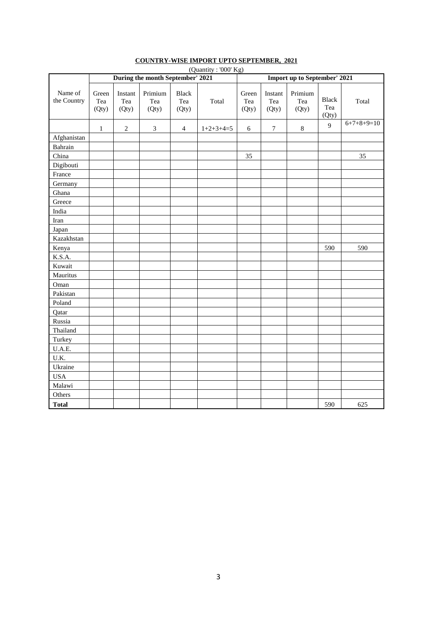|                        | (Quantity: '000' Kg)<br>During the month September' 2021 |                         |                         |                              |             |                              |                         |                         |                              |              |  |
|------------------------|----------------------------------------------------------|-------------------------|-------------------------|------------------------------|-------------|------------------------------|-------------------------|-------------------------|------------------------------|--------------|--|
|                        |                                                          |                         |                         |                              |             | Import up to September' 2021 |                         |                         |                              |              |  |
| Name of<br>the Country | Green<br>Tea<br>(Qty)                                    | Instant<br>Tea<br>(Qty) | Primium<br>Tea<br>(Qty) | <b>Black</b><br>Tea<br>(Qty) | Total       | Green<br>Tea<br>(Qty)        | Instant<br>Tea<br>(Qty) | Primium<br>Tea<br>(Qty) | <b>Black</b><br>Tea<br>(Qty) | Total        |  |
|                        | $\mathbf{1}$                                             | $\overline{2}$          | $\mathfrak{Z}$          | $\overline{4}$               | $1+2+3+4=5$ | 6                            | $\boldsymbol{7}$        | $\,8\,$                 | 9                            | $6+7+8+9=10$ |  |
| Afghanistan            |                                                          |                         |                         |                              |             |                              |                         |                         |                              |              |  |
| Bahrain                |                                                          |                         |                         |                              |             |                              |                         |                         |                              |              |  |
| China                  |                                                          |                         |                         |                              |             | 35                           |                         |                         |                              | 35           |  |
| Digibouti              |                                                          |                         |                         |                              |             |                              |                         |                         |                              |              |  |
| France                 |                                                          |                         |                         |                              |             |                              |                         |                         |                              |              |  |
| Germany                |                                                          |                         |                         |                              |             |                              |                         |                         |                              |              |  |
| Ghana                  |                                                          |                         |                         |                              |             |                              |                         |                         |                              |              |  |
| Greece                 |                                                          |                         |                         |                              |             |                              |                         |                         |                              |              |  |
| India                  |                                                          |                         |                         |                              |             |                              |                         |                         |                              |              |  |
| Iran                   |                                                          |                         |                         |                              |             |                              |                         |                         |                              |              |  |
| Japan                  |                                                          |                         |                         |                              |             |                              |                         |                         |                              |              |  |
| Kazakhstan             |                                                          |                         |                         |                              |             |                              |                         |                         |                              |              |  |
| Kenya                  |                                                          |                         |                         |                              |             |                              |                         |                         | 590                          | 590          |  |
| K.S.A.                 |                                                          |                         |                         |                              |             |                              |                         |                         |                              |              |  |
| Kuwait                 |                                                          |                         |                         |                              |             |                              |                         |                         |                              |              |  |
| Mauritus               |                                                          |                         |                         |                              |             |                              |                         |                         |                              |              |  |
| Oman                   |                                                          |                         |                         |                              |             |                              |                         |                         |                              |              |  |
| Pakistan               |                                                          |                         |                         |                              |             |                              |                         |                         |                              |              |  |
| Poland                 |                                                          |                         |                         |                              |             |                              |                         |                         |                              |              |  |
| Qatar                  |                                                          |                         |                         |                              |             |                              |                         |                         |                              |              |  |
| Russia                 |                                                          |                         |                         |                              |             |                              |                         |                         |                              |              |  |
| Thailand               |                                                          |                         |                         |                              |             |                              |                         |                         |                              |              |  |
| Turkey                 |                                                          |                         |                         |                              |             |                              |                         |                         |                              |              |  |
| U.A.E.                 |                                                          |                         |                         |                              |             |                              |                         |                         |                              |              |  |
| U.K.                   |                                                          |                         |                         |                              |             |                              |                         |                         |                              |              |  |
| Ukraine                |                                                          |                         |                         |                              |             |                              |                         |                         |                              |              |  |
| <b>USA</b>             |                                                          |                         |                         |                              |             |                              |                         |                         |                              |              |  |
| Malawi                 |                                                          |                         |                         |                              |             |                              |                         |                         |                              |              |  |
| Others                 |                                                          |                         |                         |                              |             |                              |                         |                         |                              |              |  |
| <b>Total</b>           |                                                          |                         |                         |                              |             |                              |                         |                         | 590                          | 625          |  |

#### **COUNTRY-WISE IMPORT UPTO SEPTEMBER, 2021**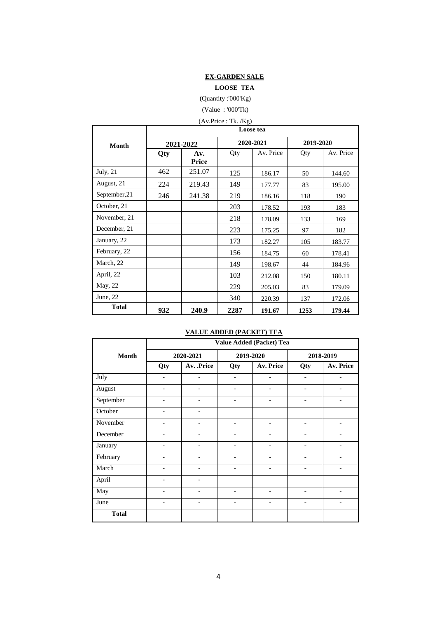## **EX-GARDEN SALE**

**LOOSE TEA**

(Quantity :'000'Kg)

(Value : '000'Tk)

| (Av.Price : Tk. / Kg) |  |
|-----------------------|--|
|                       |  |

|               | Loose tea |              |      |           |           |           |  |  |  |  |
|---------------|-----------|--------------|------|-----------|-----------|-----------|--|--|--|--|
| Month         |           | 2021-2022    |      | 2020-2021 | 2019-2020 |           |  |  |  |  |
|               | Qty       | Av.<br>Price | Qty  | Av. Price | Qty       | Av. Price |  |  |  |  |
| July, $21$    | 462       | 251.07       | 125  | 186.17    | 50        | 144.60    |  |  |  |  |
| August, 21    | 224       | 219.43       | 149  | 177.77    | 83        | 195.00    |  |  |  |  |
| September, 21 | 246       | 241.38       | 219  | 186.16    | 118       | 190       |  |  |  |  |
| October, 21   |           |              | 203  | 178.52    | 193       | 183       |  |  |  |  |
| November, 21  |           |              | 218  | 178.09    | 133       | 169       |  |  |  |  |
| December, 21  |           |              | 223  | 175.25    | 97        | 182       |  |  |  |  |
| January, 22   |           |              | 173  | 182.27    | 105       | 183.77    |  |  |  |  |
| February, 22  |           |              | 156  | 184.75    | 60        | 178.41    |  |  |  |  |
| March, 22     |           |              | 149  | 198.67    | 44        | 184.96    |  |  |  |  |
| April, 22     |           |              | 103  | 212.08    | 150       | 180.11    |  |  |  |  |
| May, 22       |           |              | 229  | 205.03    | 83        | 179.09    |  |  |  |  |
| June, 22      |           |              | 340  | 220.39    | 137       | 172.06    |  |  |  |  |
| <b>Total</b>  | 932       | 240.9        | 2287 | 191.67    | 1253      | 179.44    |  |  |  |  |

## **VALUE ADDED (PACKET) TEA**

|              | Value Added (Packet) Tea     |                              |                          |                              |                              |                          |  |  |  |  |
|--------------|------------------------------|------------------------------|--------------------------|------------------------------|------------------------------|--------------------------|--|--|--|--|
| <b>Month</b> |                              | 2020-2021                    | 2019-2020                |                              |                              | 2018-2019                |  |  |  |  |
|              | Qty                          | Av. .Price                   | Qty                      | Av. Price                    | Qty                          | Av. Price                |  |  |  |  |
| July         | $\overline{\phantom{a}}$     | $\overline{\phantom{0}}$     | $\overline{a}$           |                              |                              |                          |  |  |  |  |
| August       | $\overline{\phantom{a}}$     | $\overline{\phantom{0}}$     | $\overline{\phantom{0}}$ | $\qquad \qquad -$            | $\overline{a}$               | $\qquad \qquad$          |  |  |  |  |
| September    | $\qquad \qquad \blacksquare$ | $\qquad \qquad \blacksquare$ | $\overline{\phantom{0}}$ | $\qquad \qquad \blacksquare$ | $\qquad \qquad \blacksquare$ |                          |  |  |  |  |
| October      | $\qquad \qquad \blacksquare$ | ٠                            |                          |                              |                              |                          |  |  |  |  |
| November     | $\overline{\phantom{a}}$     | $\overline{\phantom{a}}$     | $\overline{\phantom{a}}$ | $\qquad \qquad -$            | $\overline{\phantom{a}}$     | $\overline{\phantom{a}}$ |  |  |  |  |
| December     |                              |                              |                          |                              |                              |                          |  |  |  |  |
| January      | $\overline{\phantom{0}}$     | ٠                            | $\qquad \qquad$          |                              |                              |                          |  |  |  |  |
| February     | $\overline{\phantom{a}}$     | $\overline{\phantom{a}}$     | $\overline{\phantom{a}}$ | $\qquad \qquad \blacksquare$ | $\qquad \qquad \blacksquare$ | $\overline{\phantom{a}}$ |  |  |  |  |
| March        |                              |                              |                          |                              |                              |                          |  |  |  |  |
| April        | $\overline{a}$               | $\overline{a}$               |                          |                              |                              |                          |  |  |  |  |
| May          | $\overline{\phantom{a}}$     | ٠                            | $\overline{\phantom{a}}$ | $\qquad \qquad \blacksquare$ | $\qquad \qquad$              | $\overline{\phantom{a}}$ |  |  |  |  |
| June         |                              |                              |                          |                              |                              |                          |  |  |  |  |
| <b>Total</b> |                              |                              |                          |                              |                              |                          |  |  |  |  |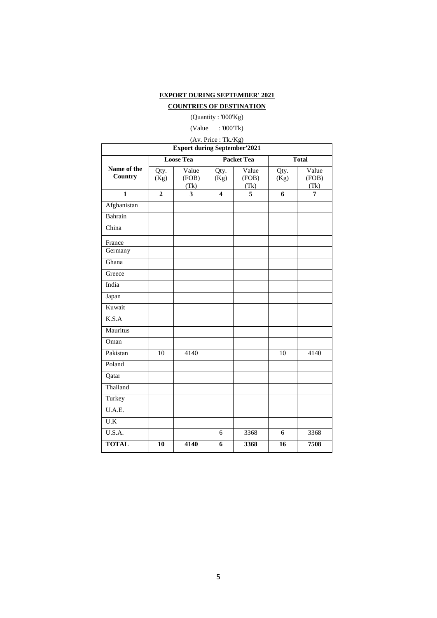#### **EXPORT DURING SEPTEMBER' 2021**

#### **COUNTRIES OF DESTINATION**

(Quantity : '000'Kg)

(Value : '000'Tk)

|                                     |                |                        | (Av. Price: Tk./Kg)     |                        |              |                        |  |  |  |  |  |  |
|-------------------------------------|----------------|------------------------|-------------------------|------------------------|--------------|------------------------|--|--|--|--|--|--|
| <b>Export during September'2021</b> |                |                        |                         |                        |              |                        |  |  |  |  |  |  |
|                                     |                | <b>Loose Tea</b>       |                         | <b>Packet Tea</b>      |              | <b>Total</b>           |  |  |  |  |  |  |
| Name of the<br>Country              | Qty.<br>(Kg)   | Value<br>(FOB)<br>(Tk) | Qty.<br>(Kg)            | Value<br>(FOB)<br>(Tk) | Qty.<br>(Kg) | Value<br>(FOB)<br>(Tk) |  |  |  |  |  |  |
| $\overline{\mathbf{1}}$             | $\overline{2}$ | 3                      | $\overline{\mathbf{4}}$ | 5                      | 6            | 7                      |  |  |  |  |  |  |
| Afghanistan                         |                |                        |                         |                        |              |                        |  |  |  |  |  |  |
| Bahrain                             |                |                        |                         |                        |              |                        |  |  |  |  |  |  |
| China                               |                |                        |                         |                        |              |                        |  |  |  |  |  |  |
| France<br>Germany                   |                |                        |                         |                        |              |                        |  |  |  |  |  |  |
| Ghana                               |                |                        |                         |                        |              |                        |  |  |  |  |  |  |
| Greece                              |                |                        |                         |                        |              |                        |  |  |  |  |  |  |
| India                               |                |                        |                         |                        |              |                        |  |  |  |  |  |  |
| Japan                               |                |                        |                         |                        |              |                        |  |  |  |  |  |  |
| Kuwait                              |                |                        |                         |                        |              |                        |  |  |  |  |  |  |
| K.S.A                               |                |                        |                         |                        |              |                        |  |  |  |  |  |  |
| Mauritus                            |                |                        |                         |                        |              |                        |  |  |  |  |  |  |
| Oman                                |                |                        |                         |                        |              |                        |  |  |  |  |  |  |
| Pakistan                            | 10             | 4140                   |                         |                        | 10           | 4140                   |  |  |  |  |  |  |
| Poland                              |                |                        |                         |                        |              |                        |  |  |  |  |  |  |
| Qatar                               |                |                        |                         |                        |              |                        |  |  |  |  |  |  |
| Thailand                            |                |                        |                         |                        |              |                        |  |  |  |  |  |  |
| Turkey                              |                |                        |                         |                        |              |                        |  |  |  |  |  |  |
| U.A.E.                              |                |                        |                         |                        |              |                        |  |  |  |  |  |  |
| U.K                                 |                |                        |                         |                        |              |                        |  |  |  |  |  |  |
| U.S.A.                              |                |                        | 6                       | 3368                   | 6            | 3368                   |  |  |  |  |  |  |
| <b>TOTAL</b>                        | 10             | 4140                   | 6                       | 3368                   | 16           | 7508                   |  |  |  |  |  |  |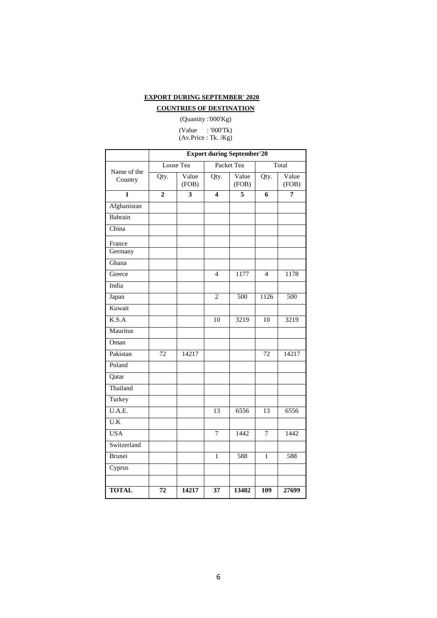#### **EXPORT DURING SEPTEMBER' 2020**

#### **COUNTRIES OF DESTINATION**

(Quantity :'000'Kg)

(Value : '000'Tk) (Av.Price : Tk. /Kg)

|                        |                 | <b>Export during September'20</b> |                          |                  |                 |                  |
|------------------------|-----------------|-----------------------------------|--------------------------|------------------|-----------------|------------------|
|                        |                 | Loose Tea                         |                          | Packet Tea       |                 | Total            |
| Name of the<br>Country | Qty.            | Value<br>(FOB)                    | Qty.                     | Value<br>(FOB)   | Qty.            | Value<br>(FOB)   |
| $\mathbf{1}$           | $\overline{2}$  | 3                                 | 4                        | 5                | 6               | $\overline{7}$   |
| Afghanistan            |                 |                                   |                          |                  |                 |                  |
| Bahrain                |                 |                                   |                          |                  |                 |                  |
| China                  |                 |                                   |                          |                  |                 |                  |
| France                 |                 |                                   |                          |                  |                 |                  |
| Germany                |                 |                                   |                          |                  |                 |                  |
| Ghana                  |                 |                                   |                          |                  |                 |                  |
| Greece                 |                 |                                   | $\overline{\mathcal{L}}$ | 1177             | $\overline{4}$  | 1178             |
| India                  |                 |                                   |                          |                  |                 |                  |
| Japan                  |                 |                                   | $\overline{2}$           | $\overline{500}$ | 1126            | $\overline{500}$ |
| Kuwait                 |                 |                                   |                          |                  |                 |                  |
| K.S.A                  |                 |                                   | 10                       | 3219             | 10              | 3219             |
| Mauritus               |                 |                                   |                          |                  |                 |                  |
| Oman                   |                 |                                   |                          |                  |                 |                  |
| Pakistan               | $\overline{72}$ | 14217                             |                          |                  | $\overline{72}$ | 14217            |
| Poland                 |                 |                                   |                          |                  |                 |                  |
| Qatar                  |                 |                                   |                          |                  |                 |                  |
| Thailand               |                 |                                   |                          |                  |                 |                  |
| Turkey                 |                 |                                   |                          |                  |                 |                  |
| U.A.E.                 |                 |                                   | 13                       | 6556             | 13              | 6556             |
| U.K                    |                 |                                   |                          |                  |                 |                  |
| <b>USA</b>             |                 |                                   | 7                        | 1442             | $\overline{7}$  | 1442             |
| Switzerland            |                 |                                   |                          |                  |                 |                  |
| Brunei                 |                 |                                   | 1                        | 588              | 1               | 588              |
| Cyprus                 |                 |                                   |                          |                  |                 |                  |
|                        |                 |                                   |                          |                  |                 |                  |
| <b>TOTAL</b>           | $\overline{72}$ | 14217                             | 37                       | 13482            | 109             | 27699            |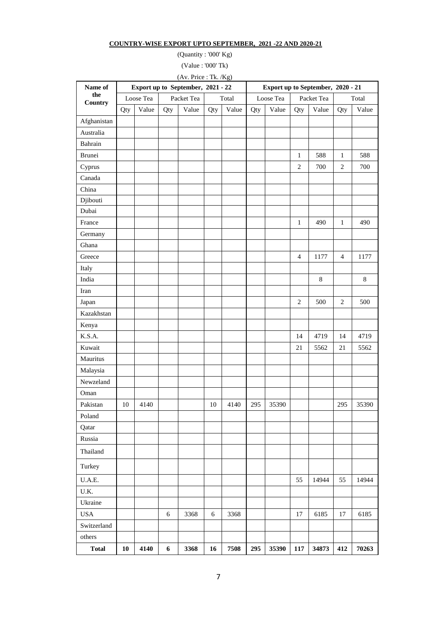#### **COUNTRY-WISE EXPORT UPTO SEPTEMBER, 2021 -22 AND 2020-21**

(Quantity : '000' Kg)

(Value : '000' Tk)

(Av. Price : Tk. /Kg)

| Name of        |     | Export up to September, 2021 - 22 |     |            |     |       | Export up to September, 2020 - 21 |       |                |       |                |         |
|----------------|-----|-----------------------------------|-----|------------|-----|-------|-----------------------------------|-------|----------------|-------|----------------|---------|
| the<br>Country |     | Loose Tea                         |     | Packet Tea |     | Total | Loose Tea<br>Packet Tea           |       |                |       | Total          |         |
|                | Qty | Value                             | Qty | Value      | Qty | Value | Qty                               | Value | Qty            | Value | Qty            | Value   |
| Afghanistan    |     |                                   |     |            |     |       |                                   |       |                |       |                |         |
| Australia      |     |                                   |     |            |     |       |                                   |       |                |       |                |         |
| Bahrain        |     |                                   |     |            |     |       |                                   |       |                |       |                |         |
| Brunei         |     |                                   |     |            |     |       |                                   |       | $\mathbf{1}$   | 588   | $\mathbf{1}$   | 588     |
| Cyprus         |     |                                   |     |            |     |       |                                   |       | $\sqrt{2}$     | 700   | $\sqrt{2}$     | 700     |
| Canada         |     |                                   |     |            |     |       |                                   |       |                |       |                |         |
| China          |     |                                   |     |            |     |       |                                   |       |                |       |                |         |
| Djibouti       |     |                                   |     |            |     |       |                                   |       |                |       |                |         |
| Dubai          |     |                                   |     |            |     |       |                                   |       |                |       |                |         |
| France         |     |                                   |     |            |     |       |                                   |       | $\mathbf{1}$   | 490   | $\mathbf{1}$   | 490     |
| Germany        |     |                                   |     |            |     |       |                                   |       |                |       |                |         |
| Ghana          |     |                                   |     |            |     |       |                                   |       |                |       |                |         |
| Greece         |     |                                   |     |            |     |       |                                   |       | $\overline{4}$ | 1177  | $\overline{4}$ | 1177    |
| Italy          |     |                                   |     |            |     |       |                                   |       |                |       |                |         |
| India          |     |                                   |     |            |     |       |                                   |       |                | 8     |                | $\,8\,$ |
| Iran           |     |                                   |     |            |     |       |                                   |       |                |       |                |         |
| Japan          |     |                                   |     |            |     |       |                                   |       | $\overline{c}$ | 500   | 2              | 500     |
| Kazakhstan     |     |                                   |     |            |     |       |                                   |       |                |       |                |         |
| Kenya          |     |                                   |     |            |     |       |                                   |       |                |       |                |         |
| K.S.A.         |     |                                   |     |            |     |       |                                   |       | 14             | 4719  | 14             | 4719    |
| Kuwait         |     |                                   |     |            |     |       |                                   |       | 21             | 5562  | $21\,$         | 5562    |
| Mauritus       |     |                                   |     |            |     |       |                                   |       |                |       |                |         |
| Malaysia       |     |                                   |     |            |     |       |                                   |       |                |       |                |         |
| Newzeland      |     |                                   |     |            |     |       |                                   |       |                |       |                |         |
| Oman           |     |                                   |     |            |     |       |                                   |       |                |       |                |         |
| Pakistan       | 10  | 4140                              |     |            | 10  | 4140  | 295                               | 35390 |                |       | 295            | 35390   |
| Poland         |     |                                   |     |            |     |       |                                   |       |                |       |                |         |
| Qatar          |     |                                   |     |            |     |       |                                   |       |                |       |                |         |
| Russia         |     |                                   |     |            |     |       |                                   |       |                |       |                |         |
| Thailand       |     |                                   |     |            |     |       |                                   |       |                |       |                |         |
| Turkey         |     |                                   |     |            |     |       |                                   |       |                |       |                |         |
| U.A.E.         |     |                                   |     |            |     |       |                                   |       | 55             | 14944 | 55             | 14944   |
| U.K.           |     |                                   |     |            |     |       |                                   |       |                |       |                |         |
| Ukraine        |     |                                   |     |            |     |       |                                   |       |                |       |                |         |
| <b>USA</b>     |     |                                   | 6   | 3368       | 6   | 3368  |                                   |       | 17             | 6185  | 17             | 6185    |
| Switzerland    |     |                                   |     |            |     |       |                                   |       |                |       |                |         |
| others         |     |                                   |     |            |     |       |                                   |       |                |       |                |         |
| <b>Total</b>   | 10  | 4140                              | 6   | 3368       | 16  | 7508  | 295                               | 35390 | 117            | 34873 | 412            | 70263   |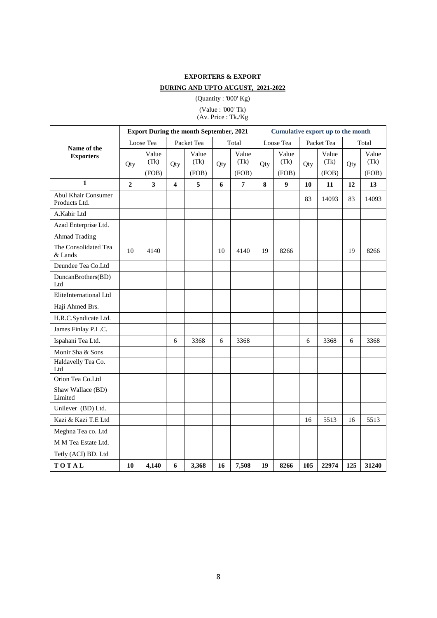## **EXPORTERS & EXPORT DURING AND UPTO AUGUST, 2021-2022**

(Quantity : '000' Kg)

(Value : '000' Tk) (Av. Price : Tk./Kg

|                                      |                |                         |                         | <b>Export During the month September, 2021</b> |     | Cumulative export up to the month |     |                  |     |               |     |               |
|--------------------------------------|----------------|-------------------------|-------------------------|------------------------------------------------|-----|-----------------------------------|-----|------------------|-----|---------------|-----|---------------|
| Name of the                          |                | Loose Tea               |                         | Packet Tea                                     |     | Total                             |     | Loose Tea        |     | Packet Tea    |     | Total         |
| <b>Exporters</b>                     | Qty            | Value<br>(Tk)           | Qty                     | Value<br>(Tk)                                  | Qty | Value<br>(Tk)                     | Qty | Value<br>(Tk)    | Qty | Value<br>(Tk) | Qty | Value<br>(Tk) |
|                                      |                | (FOB)                   |                         | (FOB)                                          |     | (FOB)                             |     | (FOB)            |     | (FOB)         |     | (FOB)         |
| $\mathbf{1}$                         | $\overline{2}$ | $\overline{\mathbf{3}}$ | $\overline{\mathbf{4}}$ | 5                                              | 6   | $\overline{7}$                    | 8   | $\boldsymbol{9}$ | 10  | 11            | 12  | 13            |
| Abul Khair Consumer<br>Products Ltd. |                |                         |                         |                                                |     |                                   |     |                  | 83  | 14093         | 83  | 14093         |
| A.Kabir Ltd                          |                |                         |                         |                                                |     |                                   |     |                  |     |               |     |               |
| Azad Enterprise Ltd.                 |                |                         |                         |                                                |     |                                   |     |                  |     |               |     |               |
| <b>Ahmad Trading</b>                 |                |                         |                         |                                                |     |                                   |     |                  |     |               |     |               |
| The Consolidated Tea<br>& Lands      | 10             | 4140                    |                         |                                                | 10  | 4140                              | 19  | 8266             |     |               | 19  | 8266          |
| Deundee Tea Co.Ltd                   |                |                         |                         |                                                |     |                                   |     |                  |     |               |     |               |
| DuncanBrothers(BD)<br>Ltd            |                |                         |                         |                                                |     |                                   |     |                  |     |               |     |               |
| EliteInternational Ltd               |                |                         |                         |                                                |     |                                   |     |                  |     |               |     |               |
| Haji Ahmed Brs.                      |                |                         |                         |                                                |     |                                   |     |                  |     |               |     |               |
| H.R.C.Syndicate Ltd.                 |                |                         |                         |                                                |     |                                   |     |                  |     |               |     |               |
| James Finlay P.L.C.                  |                |                         |                         |                                                |     |                                   |     |                  |     |               |     |               |
| Ispahani Tea Ltd.                    |                |                         | 6                       | 3368                                           | 6   | 3368                              |     |                  | 6   | 3368          | 6   | 3368          |
| Monir Sha & Sons                     |                |                         |                         |                                                |     |                                   |     |                  |     |               |     |               |
| Haldavelly Tea Co.<br>Ltd            |                |                         |                         |                                                |     |                                   |     |                  |     |               |     |               |
| Orion Tea Co.Ltd                     |                |                         |                         |                                                |     |                                   |     |                  |     |               |     |               |
| Shaw Wallace (BD)<br>Limited         |                |                         |                         |                                                |     |                                   |     |                  |     |               |     |               |
| Unilever (BD) Ltd.                   |                |                         |                         |                                                |     |                                   |     |                  |     |               |     |               |
| Kazi & Kazi T.E Ltd                  |                |                         |                         |                                                |     |                                   |     |                  | 16  | 5513          | 16  | 5513          |
| Meghna Tea co. Ltd                   |                |                         |                         |                                                |     |                                   |     |                  |     |               |     |               |
| M M Tea Estate Ltd.                  |                |                         |                         |                                                |     |                                   |     |                  |     |               |     |               |
| Tetly (ACI) BD. Ltd                  |                |                         |                         |                                                |     |                                   |     |                  |     |               |     |               |
| TOTAL                                | 10             | 4,140                   | 6                       | 3,368                                          | 16  | 7,508                             | 19  | 8266             | 105 | 22974         | 125 | 31240         |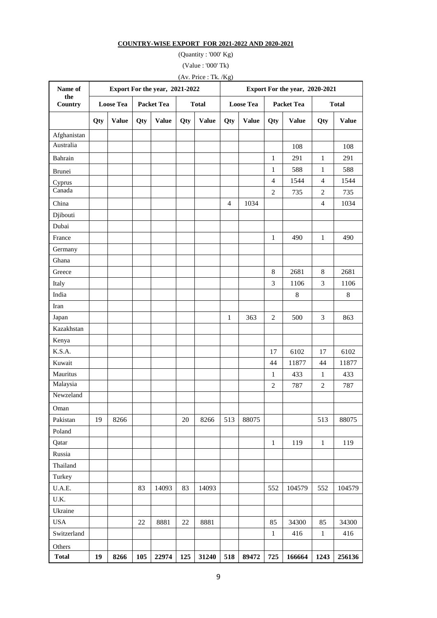## **COUNTRY-WISE EXPORT FOR 2021-2022 AND 2020-2021**

(Quantity : '000' Kg)

(Value : '000' Tk)

(Av. Price : Tk. /Kg)

| Name of        |     |                  |     | Export For the year, 2021-2022 |        |              | Export For the year, 2020-2021 |                  |                |                   |                |              |
|----------------|-----|------------------|-----|--------------------------------|--------|--------------|--------------------------------|------------------|----------------|-------------------|----------------|--------------|
| the<br>Country |     | <b>Loose Tea</b> |     | <b>Packet Tea</b>              |        | <b>Total</b> |                                | <b>Loose Tea</b> |                | <b>Packet Tea</b> |                | <b>Total</b> |
|                | Qty | <b>Value</b>     | Qty | <b>Value</b>                   | Qty    | <b>Value</b> | Qty                            | <b>Value</b>     | Qty            | <b>Value</b>      | Qty            | <b>Value</b> |
| Afghanistan    |     |                  |     |                                |        |              |                                |                  |                |                   |                |              |
| Australia      |     |                  |     |                                |        |              |                                |                  |                | 108               |                | 108          |
| Bahrain        |     |                  |     |                                |        |              |                                |                  | $\mathbf{1}$   | 291               | $\mathbf{1}$   | 291          |
| Brunei         |     |                  |     |                                |        |              |                                |                  | $\mathbf{1}$   | 588               | $\mathbf{1}$   | 588          |
| Cyprus         |     |                  |     |                                |        |              |                                |                  | $\overline{4}$ | 1544              | $\overline{4}$ | 1544         |
| Canada         |     |                  |     |                                |        |              |                                |                  | $\overline{2}$ | 735               | $\overline{2}$ | 735          |
| China          |     |                  |     |                                |        |              | $\overline{4}$                 | 1034             |                |                   | $\overline{4}$ | 1034         |
| Djibouti       |     |                  |     |                                |        |              |                                |                  |                |                   |                |              |
| Dubai          |     |                  |     |                                |        |              |                                |                  |                |                   |                |              |
| France         |     |                  |     |                                |        |              |                                |                  | $\mathbf{1}$   | 490               | $\mathbf{1}$   | 490          |
| Germany        |     |                  |     |                                |        |              |                                |                  |                |                   |                |              |
| Ghana          |     |                  |     |                                |        |              |                                |                  |                |                   |                |              |
| Greece         |     |                  |     |                                |        |              |                                |                  | $8\,$          | 2681              | 8              | 2681         |
| Italy          |     |                  |     |                                |        |              |                                |                  | 3              | 1106              | 3              | 1106         |
| India          |     |                  |     |                                |        |              |                                |                  |                | $\,8\,$           |                | 8            |
| Iran           |     |                  |     |                                |        |              |                                |                  |                |                   |                |              |
| Japan          |     |                  |     |                                |        |              | 1                              | 363              | $\overline{c}$ | 500               | 3              | 863          |
| Kazakhstan     |     |                  |     |                                |        |              |                                |                  |                |                   |                |              |
| Kenya          |     |                  |     |                                |        |              |                                |                  |                |                   |                |              |
| K.S.A.         |     |                  |     |                                |        |              |                                |                  | 17             | 6102              | 17             | 6102         |
| Kuwait         |     |                  |     |                                |        |              |                                |                  | 44             | 11877             | 44             | 11877        |
| Mauritus       |     |                  |     |                                |        |              |                                |                  | $\mathbf{1}$   | 433               | $\mathbf{1}$   | 433          |
| Malaysia       |     |                  |     |                                |        |              |                                |                  | $\overline{2}$ | 787               | $\overline{2}$ | 787          |
| Newzeland      |     |                  |     |                                |        |              |                                |                  |                |                   |                |              |
| Oman           |     |                  |     |                                |        |              |                                |                  |                |                   |                |              |
| Pakistan       | 19  | 8266             |     |                                | $20\,$ | 8266         | 513                            | 88075            |                |                   | 513            | 88075        |
| Poland         |     |                  |     |                                |        |              |                                |                  |                |                   |                |              |
| Qatar          |     |                  |     |                                |        |              |                                |                  | $\mathbf{1}$   | 119               | $\mathbf{1}$   | 119          |
| Russia         |     |                  |     |                                |        |              |                                |                  |                |                   |                |              |
| Thailand       |     |                  |     |                                |        |              |                                |                  |                |                   |                |              |
| Turkey         |     |                  |     |                                |        |              |                                |                  |                |                   |                |              |
| U.A.E.         |     |                  | 83  | 14093                          | 83     | 14093        |                                |                  | 552            | 104579            | 552            | 104579       |
| U.K.           |     |                  |     |                                |        |              |                                |                  |                |                   |                |              |
| Ukraine        |     |                  |     |                                |        |              |                                |                  |                |                   |                |              |
| <b>USA</b>     |     |                  | 22  | 8881                           | $22\,$ | 8881         |                                |                  | 85             | 34300             | 85             | 34300        |
| Switzerland    |     |                  |     |                                |        |              |                                |                  | $\mathbf{1}$   | 416               | $\mathbf{1}$   | 416          |
| Others         |     |                  |     |                                |        |              |                                |                  |                |                   |                |              |
| <b>Total</b>   | 19  | 8266             | 105 | 22974                          | 125    | 31240        | 518                            | 89472            | 725            | 166664            | 1243           | 256136       |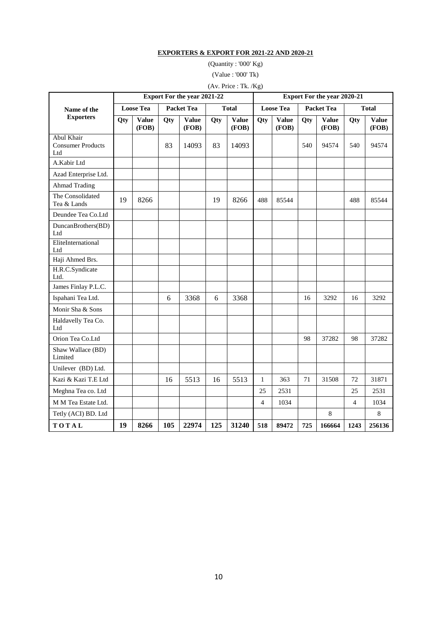## **EXPORTERS & EXPORT FOR 2021-22 AND 2020-21**

(Quantity : '000' Kg)

(Value : '000' Tk)

# (Av. Price : Tk. /Kg)

|                                               |                  |                       |                   | Export For the year 2021-22 |     |                       | <b>Export For the year 2020-21</b> |                       |                   |                       |              |                       |
|-----------------------------------------------|------------------|-----------------------|-------------------|-----------------------------|-----|-----------------------|------------------------------------|-----------------------|-------------------|-----------------------|--------------|-----------------------|
| Name of the                                   | <b>Loose Tea</b> |                       | <b>Packet Tea</b> |                             |     | <b>Total</b>          | <b>Loose Tea</b>                   |                       | <b>Packet Tea</b> |                       | <b>Total</b> |                       |
| <b>Exporters</b>                              | Qty              | <b>Value</b><br>(FOB) | Qty               | <b>Value</b><br>(FOB)       | Qty | <b>Value</b><br>(FOB) | Qty                                | <b>Value</b><br>(FOB) | Qty               | <b>Value</b><br>(FOB) | Qty          | <b>Value</b><br>(FOB) |
| Abul Khair<br><b>Consumer Products</b><br>Ltd |                  |                       | 83                | 14093                       | 83  | 14093                 |                                    |                       | 540               | 94574                 | 540          | 94574                 |
| A.Kabir Ltd                                   |                  |                       |                   |                             |     |                       |                                    |                       |                   |                       |              |                       |
| Azad Enterprise Ltd.                          |                  |                       |                   |                             |     |                       |                                    |                       |                   |                       |              |                       |
| <b>Ahmad Trading</b>                          |                  |                       |                   |                             |     |                       |                                    |                       |                   |                       |              |                       |
| The Consolidated<br>Tea & Lands               | 19               | 8266                  |                   |                             | 19  | 8266                  | 488                                | 85544                 |                   |                       | 488          | 85544                 |
| Deundee Tea Co.Ltd                            |                  |                       |                   |                             |     |                       |                                    |                       |                   |                       |              |                       |
| DuncanBrothers(BD)<br>Ltd                     |                  |                       |                   |                             |     |                       |                                    |                       |                   |                       |              |                       |
| EliteInternational<br>Ltd                     |                  |                       |                   |                             |     |                       |                                    |                       |                   |                       |              |                       |
| Haji Ahmed Brs.                               |                  |                       |                   |                             |     |                       |                                    |                       |                   |                       |              |                       |
| H.R.C.Syndicate<br>Ltd.                       |                  |                       |                   |                             |     |                       |                                    |                       |                   |                       |              |                       |
| James Finlay P.L.C.                           |                  |                       |                   |                             |     |                       |                                    |                       |                   |                       |              |                       |
| Ispahani Tea Ltd.                             |                  |                       | 6                 | 3368                        | 6   | 3368                  |                                    |                       | 16                | 3292                  | 16           | 3292                  |
| Monir Sha & Sons                              |                  |                       |                   |                             |     |                       |                                    |                       |                   |                       |              |                       |
| Haldavelly Tea Co.<br>Ltd                     |                  |                       |                   |                             |     |                       |                                    |                       |                   |                       |              |                       |
| Orion Tea Co.Ltd                              |                  |                       |                   |                             |     |                       |                                    |                       | 98                | 37282                 | 98           | 37282                 |
| Shaw Wallace (BD)<br>Limited                  |                  |                       |                   |                             |     |                       |                                    |                       |                   |                       |              |                       |
| Unilever (BD) Ltd.                            |                  |                       |                   |                             |     |                       |                                    |                       |                   |                       |              |                       |
| Kazi & Kazi T.E Ltd                           |                  |                       | 16                | 5513                        | 16  | 5513                  | $\mathbf{1}$                       | 363                   | 71                | 31508                 | 72           | 31871                 |
| Meghna Tea co. Ltd                            |                  |                       |                   |                             |     |                       | 25                                 | 2531                  |                   |                       | 25           | 2531                  |
| M M Tea Estate Ltd.                           |                  |                       |                   |                             |     |                       | 4                                  | 1034                  |                   |                       | 4            | 1034                  |
| Tetly (ACI) BD. Ltd                           |                  |                       |                   |                             |     |                       |                                    |                       |                   | $\,8\,$               |              | $\,$ 8 $\,$           |
| TOTAL                                         | 19               | 8266                  | 105               | 22974                       | 125 | 31240                 | 518                                | 89472                 | 725               | 166664                | 1243         | 256136                |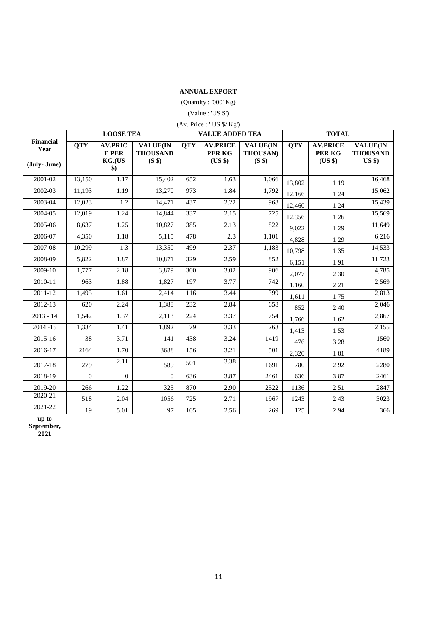#### **ANNUAL EXPORT**

#### (Quantity : '000' Kg)

 $\rm (Value: US \$ )

|            | (Av. Price: 'US \$/ Kg')           |                                                         |            |                                      |                                                          |            |                                    |  |  |  |  |  |
|------------|------------------------------------|---------------------------------------------------------|------------|--------------------------------------|----------------------------------------------------------|------------|------------------------------------|--|--|--|--|--|
|            | <b>LOOSE TEA</b>                   |                                                         |            | <b>VALUE ADDED TEA</b>               | <b>TOTAL</b>                                             |            |                                    |  |  |  |  |  |
| <b>OTY</b> | <b>AV.PRIC</b><br>E PER<br>KG.(US) | <b>VALUE(IN</b><br><b>THOUSAND</b><br>(S <sub>s</sub> ) | <b>OTY</b> | <b>AV.PRICE</b><br>PER KG<br>(US \$) | <b>VALUE</b> (IN<br><b>THOUSAN)</b><br>(S <sub>s</sub> ) | <b>OTY</b> | <b>AV.PRICE</b><br>PER KG<br>(USS) |  |  |  |  |  |
| 13.150     |                                    | 15.402                                                  | 652        | 1.63                                 | .066                                                     | .          |                                    |  |  |  |  |  |

**VALUE(IN** 

| Year<br>(July-June) |                    | E PER<br>KG.(US<br>$\boldsymbol{\$})$ | <b>THOUSAND</b><br>(S \$) |     | PER KG<br>(US \$) | THOUSAN)<br>(S <sup>s</sup> ) |        | PER KG<br>(US \$) | <b>THOUSAND</b><br>$US$ \$) |
|---------------------|--------------------|---------------------------------------|---------------------------|-----|-------------------|-------------------------------|--------|-------------------|-----------------------------|
| 2001-02             | 13,150             | 1.17                                  | 15,402                    | 652 | 1.63              | 1,066                         | 13,802 | 1.19              | 16,468                      |
| 2002-03             | 11,193             | 1.19                                  | 13,270                    | 973 | 1.84              | 1,792                         | 12,166 | 1.24              | 15,062                      |
| 2003-04             | 12,023             | 1.2                                   | 14,471                    | 437 | 2.22              | 968                           | 12,460 | 1.24              | 15,439                      |
| 2004-05             | 12,019             | 1.24                                  | 14,844                    | 337 | 2.15              | 725                           | 12,356 | 1.26              | 15,569                      |
| 2005-06             | 8,637              | 1.25                                  | 10,827                    | 385 | 2.13              | 822                           | 9,022  | 1.29              | 11,649                      |
| 2006-07             | 4,350              | 1.18                                  | 5,115                     | 478 | 2.3               | 1,101                         | 4,828  | 1.29              | 6,216                       |
| 2007-08             | 10,299             | 1.3                                   | 13,350                    | 499 | 2.37              | 1,183                         | 10,798 | 1.35              | 14,533                      |
| 2008-09             | 5,822              | 1.87                                  | 10,871                    | 329 | 2.59              | 852                           | 6,151  | 1.91              | 11,723                      |
| 2009-10             | 1,777              | 2.18                                  | 3,879                     | 300 | 3.02              | 906                           | 2,077  | 2.30              | 4,785                       |
| 2010-11             | 963                | 1.88                                  | 1,827                     | 197 | 3.77              | 742                           | 1,160  | 2.21              | 2,569                       |
| 2011-12             | 1,495              | 1.61                                  | 2,414                     | 116 | 3.44              | 399                           | 1,611  | 1.75              | 2,813                       |
| 2012-13             | 620                | 2.24                                  | 1,388                     | 232 | 2.84              | 658                           | 852    | 2.40              | 2,046                       |
| $2013 - 14$         | $\overline{1,542}$ | 1.37                                  | 2,113                     | 224 | 3.37              | 754                           | 1,766  | 1.62              | 2,867                       |
| $2014 - 15$         | 1,334              | 1.41                                  | 1,892                     | 79  | 3.33              | 263                           | 1,413  | 1.53              | 2,155                       |
| 2015-16             | 38                 | 3.71                                  | 141                       | 438 | 3.24              | 1419                          | 476    | 3.28              | 1560                        |
| 2016-17             | 2164               | 1.70                                  | 3688                      | 156 | 3.21              | 501                           | 2,320  | 1.81              | 4189                        |
| 2017-18             | 279                | 2.11                                  | 589                       | 501 | 3.38              | 1691                          | 780    | 2.92              | 2280                        |
| 2018-19             | $\theta$           | $\mathbf{0}$                          | $\overline{0}$            | 636 | 3.87              | 2461                          | 636    | 3.87              | 2461                        |
| 2019-20             | 266                | 1.22                                  | 325                       | 870 | 2.90              | 2522                          | 1136   | 2.51              | 2847                        |
| 2020-21             | 518                | 2.04                                  | 1056                      | 725 | 2.71              | 1967                          | 1243   | 2.43              | 3023                        |
| 2021-22             | 19                 | 5.01                                  | 97                        | 105 | 2.56              | 269                           | 125    | 2.94              | 366                         |

**up to** 

**September,** 

**Financial Year** 

**2021**